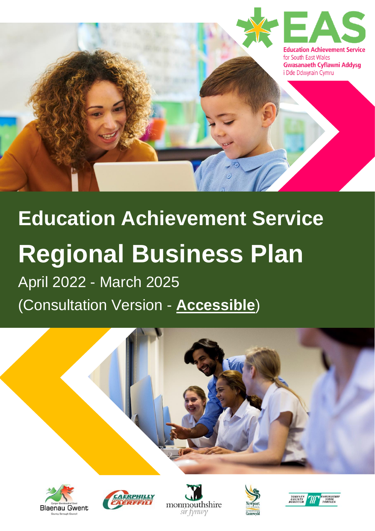

# **Education Achievement Service Regional Business Plan** April 2022 - March 2025

(Consultation Version - **Accessible**)











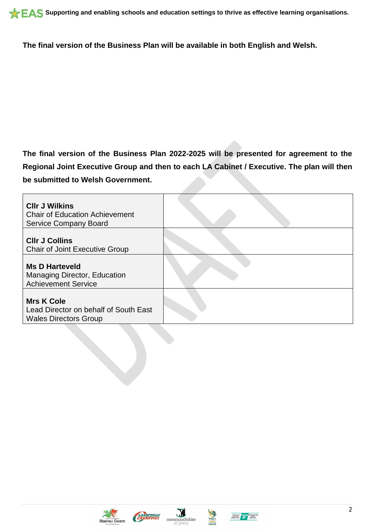**The final version of the Business Plan will be available in both English and Welsh.**

**The final version of the Business Plan 2022-2025 will be presented for agreement to the Regional Joint Executive Group and then to each LA Cabinet / Executive. The plan will then be submitted to Welsh Government.**

| <b>CIIr J Wilkins</b><br><b>Chair of Education Achievement</b><br><b>Service Company Board</b> |  |
|------------------------------------------------------------------------------------------------|--|
| <b>CIIr J Collins</b><br><b>Chair of Joint Executive Group</b>                                 |  |
| <b>Ms D Harteveld</b><br><b>Managing Director, Education</b><br><b>Achievement Service</b>     |  |
| <b>Mrs K Cole</b><br>Lead Director on behalf of South East<br><b>Wales Directors Group</b>     |  |









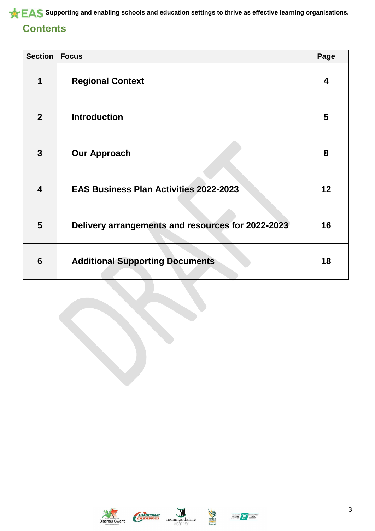# **Contents**

| <b>Section</b>          | <b>Focus</b>                                      | Page |
|-------------------------|---------------------------------------------------|------|
| 1                       | <b>Regional Context</b>                           | 4    |
| $\overline{2}$          | <b>Introduction</b>                               | 5    |
| 3                       | <b>Our Approach</b>                               | 8    |
| $\overline{\mathbf{4}}$ | <b>EAS Business Plan Activities 2022-2023</b>     | 12   |
| 5                       | Delivery arrangements and resources for 2022-2023 | 16   |
| 6                       | <b>Additional Supporting Documents</b>            | 18   |







Newport



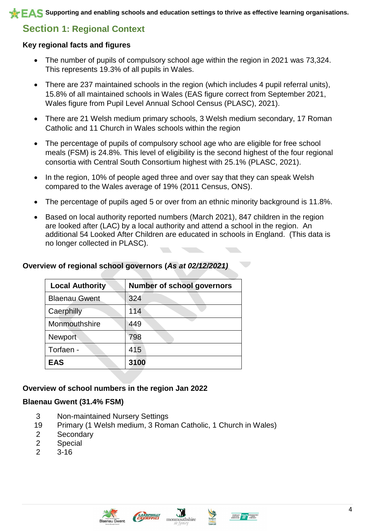# **Section 1: Regional Context**

### **Key regional facts and figures**

- The number of pupils of compulsory school age within the region in 2021 was 73,324. This represents 19.3% of all pupils in Wales.
- There are 237 maintained schools in the region (which includes 4 pupil referral units), 15.8% of all maintained schools in Wales (EAS figure correct from September 2021, Wales figure from Pupil Level Annual School Census (PLASC), 2021).
- There are 21 Welsh medium primary schools, 3 Welsh medium secondary, 17 Roman Catholic and 11 Church in Wales schools within the region
- The percentage of pupils of compulsory school age who are eligible for free school meals (FSM) is 24.8%. This level of eligibility is the second highest of the four regional consortia with Central South Consortium highest with 25.1% (PLASC, 2021).
- In the region, 10% of people aged three and over say that they can speak Welsh compared to the Wales average of 19% (2011 Census, ONS).
- The percentage of pupils aged 5 or over from an ethnic minority background is 11.8%.
- Based on local authority reported numbers (March 2021), 847 children in the region are looked after (LAC) by a local authority and attend a school in the region. An additional 54 Looked After Children are educated in schools in England. (This data is no longer collected in PLASC).

### **Overview of regional school governors (***As at 02/12/2021)*

| <b>Local Authority</b> | <b>Number of school governors</b> |
|------------------------|-----------------------------------|
| <b>Blaenau Gwent</b>   | 324                               |
| Caerphilly             | 114                               |
| Monmouthshire          | 449                               |
| Newport                | 798                               |
| Torfaen -              | 415                               |
| <b>EAS</b>             | 3100                              |

### **Overview of school numbers in the region Jan 2022**

### **Blaenau Gwent (31.4% FSM)**

- 3 Non-maintained Nursery Settings
- 19 Primary (1 Welsh medium, 3 Roman Catholic, 1 Church in Wales)
- 2 Secondary
- 2 Special
- 2 3-16







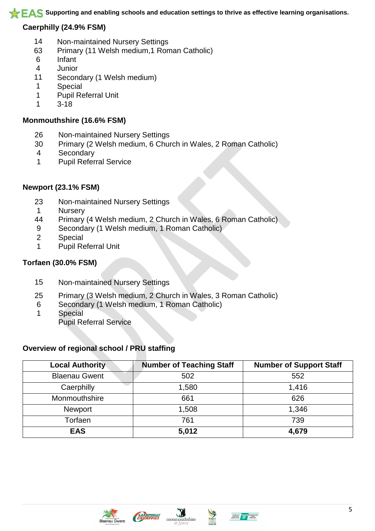### **Caerphilly (24.9% FSM)**

- Non-maintained Nursery Settings
- Primary (11 Welsh medium,1 Roman Catholic)
- Infant
- Junior
- Secondary (1 Welsh medium)
- Special
- Pupil Referral Unit
- 3-18

### **Monmouthshire (16.6% FSM)**

- Non-maintained Nursery Settings
- Primary (2 Welsh medium, 6 Church in Wales, 2 Roman Catholic)
- Secondary
- Pupil Referral Service

### **Newport (23.1% FSM)**

- Non-maintained Nursery Settings
- Nursery
- Primary (4 Welsh medium, 2 Church in Wales, 6 Roman Catholic)
- Secondary (1 Welsh medium, 1 Roman Catholic)
- Special
- Pupil Referral Unit

### **Torfaen (30.0% FSM)**

- Non-maintained Nursery Settings
- Primary (3 Welsh medium, 2 Church in Wales, 3 Roman Catholic)
- Secondary (1 Welsh medium, 1 Roman Catholic)
- Special Pupil Referral Service

### **Overview of regional school / PRU staffing**

| <b>Local Authority</b> | <b>Number of Teaching Staff</b> | <b>Number of Support Staff</b> |  |
|------------------------|---------------------------------|--------------------------------|--|
| <b>Blaenau Gwent</b>   | 502                             | 552                            |  |
| Caerphilly             | 1,580                           | 1,416                          |  |
| Monmouthshire          | 661                             | 626                            |  |
| <b>Newport</b>         | 1,508                           | 1,346                          |  |
| Torfaen                | 761                             | 739                            |  |
| <b>EAS</b>             | 5,012                           | 4,679                          |  |





J



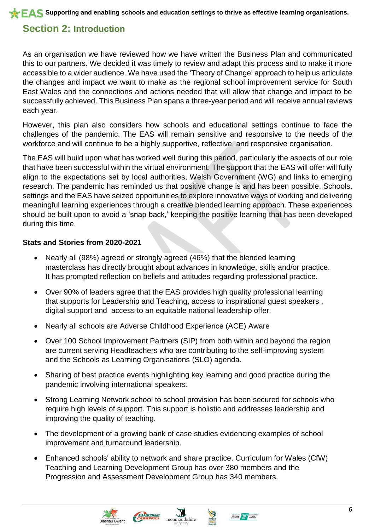**SUPPORTIAL SUPPORTING AND EVALUATE AS Supporting and enabling schools and education settings to thrive as effective learning organisations.** 

# **Section 2: Introduction**

As an organisation we have reviewed how we have written the Business Plan and communicated this to our partners. We decided it was timely to review and adapt this process and to make it more accessible to a wider audience. We have used the 'Theory of Change' approach to help us articulate the changes and impact we want to make as the regional school improvement service for South East Wales and the connections and actions needed that will allow that change and impact to be successfully achieved. This Business Plan spans a three-year period and will receive annual reviews each year.

However, this plan also considers how schools and educational settings continue to face the challenges of the pandemic. The EAS will remain sensitive and responsive to the needs of the workforce and will continue to be a highly supportive, reflective, and responsive organisation.

The EAS will build upon what has worked well during this period, particularly the aspects of our role that have been successful within the virtual environment. The support that the EAS will offer will fully align to the expectations set by local authorities, Welsh Government (WG) and links to emerging research. The pandemic has reminded us that positive change is and has been possible. Schools, settings and the EAS have seized opportunities to explore innovative ways of working and delivering meaningful learning experiences through a creative blended learning approach. These experiences should be built upon to avoid a 'snap back,' keeping the positive learning that has been developed during this time.

### **Stats and Stories from 2020-2021**

- Nearly all (98%) agreed or strongly agreed (46%) that the blended learning masterclass has directly brought about advances in knowledge, skills and/or practice. It has prompted reflection on beliefs and attitudes regarding professional practice.
- Over 90% of leaders agree that the EAS provides high quality professional learning that supports for Leadership and Teaching, access to inspirational guest speakers , digital support and access to an equitable national leadership offer.
- Nearly all schools are Adverse Childhood Experience (ACE) Aware
- Over 100 School Improvement Partners (SIP) from both within and beyond the region are current serving Headteachers who are contributing to the self-improving system and the Schools as Learning Organisations (SLO) agenda.
- Sharing of best practice events highlighting key learning and good practice during the pandemic involving international speakers.
- Strong Learning Network school to school provision has been secured for schools who require high levels of support. This support is holistic and addresses leadership and improving the quality of teaching.
- The development of a growing bank of case studies evidencing examples of school improvement and turnaround leadership.
- Enhanced schools' ability to network and share practice. Curriculum for Wales (CfW) Teaching and Learning Development Group has over 380 members and the Progression and Assessment Development Group has 340 members.





EAFREWLY

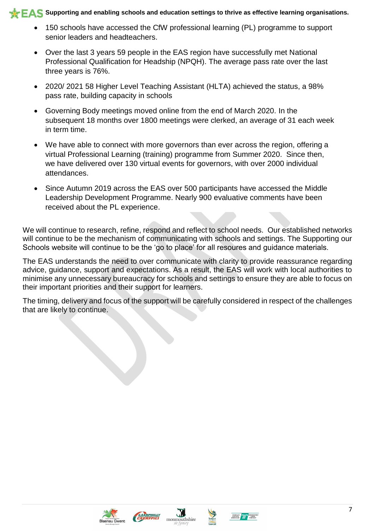- 150 schools have accessed the CfW professional learning (PL) programme to support senior leaders and headteachers.
- Over the last 3 years 59 people in the EAS region have successfully met National Professional Qualification for Headship (NPQH). The average pass rate over the last three years is 76%.
- 2020/ 2021 58 Higher Level Teaching Assistant (HLTA) achieved the status, a 98% pass rate, building capacity in schools
- Governing Body meetings moved online from the end of March 2020. In the subsequent 18 months over 1800 meetings were clerked, an average of 31 each week in term time.
- We have able to connect with more governors than ever across the region, offering a virtual Professional Learning (training) programme from Summer 2020. Since then, we have delivered over 130 virtual events for governors, with over 2000 individual attendances.
- Since Autumn 2019 across the EAS over 500 participants have accessed the Middle Leadership Development Programme. Nearly 900 evaluative comments have been received about the PL experience.

We will continue to research, refine, respond and reflect to school needs. Our established networks will continue to be the mechanism of communicating with schools and settings. The Supporting our Schools website will continue to be the 'go to place' for all resoures and guidance materials.

The EAS understands the need to over communicate with clarity to provide reassurance regarding advice, guidance, support and expectations. As a result, the EAS will work with local authorities to minimise any unnecessary bureaucracy for schools and settings to ensure they are able to focus on their important priorities and their support for learners.

The timing, delivery and focus of the support will be carefully considered in respect of the challenges that are likely to continue.









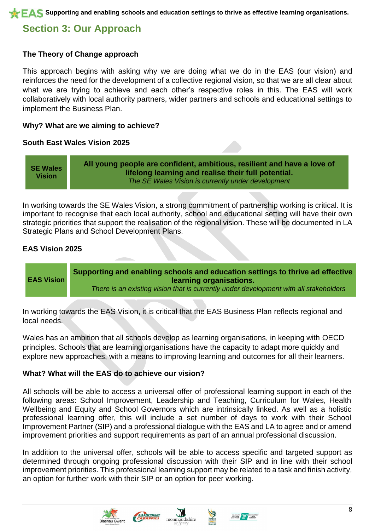# **Section 3: Our Approach**

### **The Theory of Change approach**

This approach begins with asking why we are doing what we do in the EAS (our vision) and reinforces the need for the development of a collective regional vision, so that we are all clear about what we are trying to achieve and each other's respective roles in this. The EAS will work collaboratively with local authority partners, wider partners and schools and educational settings to implement the Business Plan.

### **Why? What are we aiming to achieve?**

### **South East Wales Vision 2025**

**SE Wales Vision All young people are confident, ambitious, resilient and have a love of lifelong learning and realise their full potential.** *The SE Wales Vision is currently under development*

In working towards the SE Wales Vision, a strong commitment of partnership working is critical. It is important to recognise that each local authority, school and educational setting will have their own strategic priorities that support the realisation of the regional vision. These will be documented in LA Strategic Plans and School Development Plans.

### **EAS Vision 2025**



In working towards the EAS Vision, it is critical that the EAS Business Plan reflects regional and local needs.

Wales has an ambition that all schools develop as learning organisations, in keeping with OECD principles. Schools that are learning organisations have the capacity to adapt more quickly and explore new approaches, with a means to improving learning and outcomes for all their learners.

### **What? What will the EAS do to achieve our vision?**

All schools will be able to access a universal offer of professional learning support in each of the following areas: School Improvement, Leadership and Teaching, Curriculum for Wales, Health Wellbeing and Equity and School Governors which are intrinsically linked. As well as a holistic professional learning offer, this will include a set number of days to work with their School Improvement Partner (SIP) and a professional dialogue with the EAS and LA to agree and or amend improvement priorities and support requirements as part of an annual professional discussion.

In addition to the universal offer, schools will be able to access specific and targeted support as determined through ongoing professional discussion with their SIP and in line with their school improvement priorities. This professional learning support may be related to a task and finish activity, an option for further work with their SIP or an option for peer working.





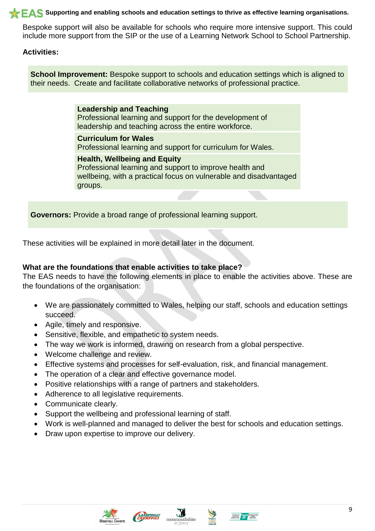### **SUPPORTIAL SUPPORTING AND EVALUATE AS Supporting and enabling schools and education settings to thrive as effective learning organisations.**

Bespoke support will also be available for schools who require more intensive support. This could include more support from the SIP or the use of a Learning Network School to School Partnership.

### **Activities:**

**School Improvement:** Bespoke support to schools and education settings which is aligned to their needs. Create and facilitate collaborative networks of professional practice.

> **Leadership and Teaching** Professional learning and support for the development of leadership and teaching across the entire workforce.

**Curriculum for Wales**

Professional learning and support for curriculum for Wales.

### **Health, Wellbeing and Equity**

Professional learning and support to improve health and wellbeing, with a practical focus on vulnerable and disadvantaged groups.

**Governors:** Provide a broad range of professional learning support.

These activities will be explained in more detail later in the document.

### **What are the foundations that enable activities to take place?**

The EAS needs to have the following elements in place to enable the activities above. These are the foundations of the organisation:

- We are passionately committed to Wales, helping our staff, schools and education settings succeed.
- Agile, timely and responsive.
- Sensitive, flexible, and empathetic to system needs.
- The way we work is informed, drawing on research from a global perspective.
- Welcome challenge and review.
- Effective systems and processes for self-evaluation, risk, and financial management.
- The operation of a clear and effective governance model.
- Positive relationships with a range of partners and stakeholders.
- Adherence to all legislative requirements.
- Communicate clearly.
- Support the wellbeing and professional learning of staff.
- Work is well-planned and managed to deliver the best for schools and education settings.
- Draw upon expertise to improve our delivery.





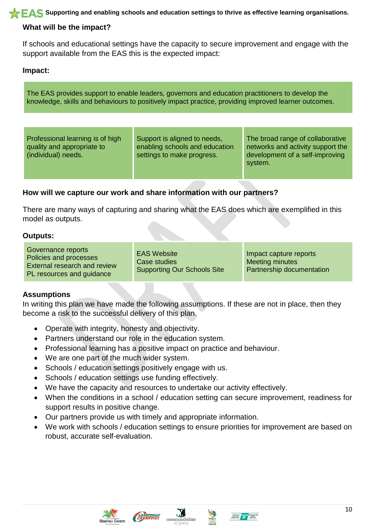**SUPPORTIAL SUPPORTING AND EVALUATE AS Supporting and enabling schools and education settings to thrive as effective learning organisations.** 

### **What will be the impact?**

If schools and educational settings have the capacity to secure improvement and engage with the support available from the EAS this is the expected impact:

### **Impact:**

The EAS provides support to enable leaders, governors and education practitioners to develop the knowledge, skills and behaviours to positively impact practice, providing improved learner outcomes.

| Professional learning is of high<br>quality and appropriate to<br>(individual) needs. | Support is aligned to needs,<br>enabling schools and education<br>settings to make progress. | The broad range of collaborative<br>networks and activity support the<br>development of a self-improving<br>system. |
|---------------------------------------------------------------------------------------|----------------------------------------------------------------------------------------------|---------------------------------------------------------------------------------------------------------------------|
|---------------------------------------------------------------------------------------|----------------------------------------------------------------------------------------------|---------------------------------------------------------------------------------------------------------------------|

### **How will we capture our work and share information with our partners?**

There are many ways of capturing and sharing what the EAS does which are exemplified in this model as outputs.

### **Outputs:**

| Governance reports<br>Policies and processes<br>External research and review<br>PL resources and guidance | <b>EAS Website</b><br>Case studies<br>Supporting Our Schools Site | Impact capture reports<br><b>Meeting minutes</b><br>Partnership documentation |
|-----------------------------------------------------------------------------------------------------------|-------------------------------------------------------------------|-------------------------------------------------------------------------------|
|-----------------------------------------------------------------------------------------------------------|-------------------------------------------------------------------|-------------------------------------------------------------------------------|

### **Assumptions**

In writing this plan we have made the following assumptions. If these are not in place, then they become a risk to the successful delivery of this plan.

- Operate with integrity, honesty and objectivity.
- Partners understand our role in the education system.
- Professional learning has a positive impact on practice and behaviour.
- We are one part of the much wider system.
- Schools / education settings positively engage with us.
- Schools / education settings use funding effectively.
- We have the capacity and resources to undertake our activity effectively.
- When the conditions in a school / education setting can secure improvement, readiness for support results in positive change.
- Our partners provide us with timely and appropriate information.
- We work with schools / education settings to ensure priorities for improvement are based on robust, accurate self-evaluation.







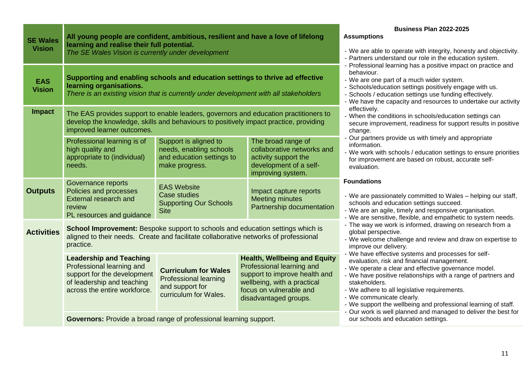| <b>SE Wales</b>             | All young people are confident, ambitious, resilient and have a love of lifelong                                                                                                                            |                                                                                                         |                                                                                                                                                                                                                                                                                                                                                                                                                                                  | <b>Business Plan 2022-2025</b><br><b>Assumptions</b>                                                                                                                                                                                                                                                                                                                                       |  |  |
|-----------------------------|-------------------------------------------------------------------------------------------------------------------------------------------------------------------------------------------------------------|---------------------------------------------------------------------------------------------------------|--------------------------------------------------------------------------------------------------------------------------------------------------------------------------------------------------------------------------------------------------------------------------------------------------------------------------------------------------------------------------------------------------------------------------------------------------|--------------------------------------------------------------------------------------------------------------------------------------------------------------------------------------------------------------------------------------------------------------------------------------------------------------------------------------------------------------------------------------------|--|--|
| <b>Vision</b>               | learning and realise their full potential.<br>The SE Wales Vision is currently under development                                                                                                            |                                                                                                         | - We are able to operate with integrity, honesty and objectivity.<br>- Partners understand our role in the education system.<br>- Professional learning has a positive impact on practice and<br>behaviour.<br>- We are one part of a much wider system.<br>- Schools/education settings positively engage with us.<br>- Schools / education settings use funding effectively.<br>- We have the capacity and resources to undertake our activity |                                                                                                                                                                                                                                                                                                                                                                                            |  |  |
| <b>EAS</b><br><b>Vision</b> | Supporting and enabling schools and education settings to thrive ad effective<br>learning organisations.<br>There is an existing vision that is currently under development with all stakeholders           |                                                                                                         |                                                                                                                                                                                                                                                                                                                                                                                                                                                  |                                                                                                                                                                                                                                                                                                                                                                                            |  |  |
| <b>Impact</b>               | The EAS provides support to enable leaders, governors and education practitioners to<br>develop the knowledge, skills and behaviours to positively impact practice, providing<br>improved learner outcomes. |                                                                                                         | effectively.<br>- When the conditions in schools/education settings can<br>secure improvement, readiness for support results in positive<br>change.                                                                                                                                                                                                                                                                                              |                                                                                                                                                                                                                                                                                                                                                                                            |  |  |
|                             | Professional learning is of<br>high quality and<br>appropriate to (individual)<br>needs.                                                                                                                    | Support is aligned to<br>needs, enabling schools<br>and education settings to<br>make progress.         | The broad range of<br>collaborative networks and<br>activity support the<br>development of a self-<br>improving system.                                                                                                                                                                                                                                                                                                                          | - Our partners provide us with timely and appropriate<br>information.<br>- We work with schools / education settings to ensure priorities<br>for improvement are based on robust, accurate self-<br>evaluation.                                                                                                                                                                            |  |  |
|                             | Governance reports                                                                                                                                                                                          | <b>EAS Website</b>                                                                                      |                                                                                                                                                                                                                                                                                                                                                                                                                                                  | <b>Foundations</b>                                                                                                                                                                                                                                                                                                                                                                         |  |  |
| <b>Outputs</b>              | Policies and processes<br><b>External research and</b><br>review<br>PL resources and guidance                                                                                                               | <b>Case studies</b><br><b>Supporting Our Schools</b><br><b>Site</b>                                     | Impact capture reports<br><b>Meeting minutes</b><br>Partnership documentation                                                                                                                                                                                                                                                                                                                                                                    | - We are passionately committed to Wales - helping our staff,<br>schools and education settings succeed.<br>- We are an agile, timely and responsive organisation.<br>- We are sensitive, flexible, and empathetic to system needs.                                                                                                                                                        |  |  |
| <b>Activities</b>           | School Improvement: Bespoke support to schools and education settings which is<br>aligned to their needs. Create and facilitate collaborative networks of professional<br>practice.                         |                                                                                                         |                                                                                                                                                                                                                                                                                                                                                                                                                                                  | - The way we work is informed, drawing on research from a<br>global perspective.<br>- We welcome challenge and review and draw on expertise to<br>improve our delivery.                                                                                                                                                                                                                    |  |  |
|                             | <b>Leadership and Teaching</b><br>Professional learning and<br>support for the development<br>of leadership and teaching<br>across the entire workforce.                                                    | <b>Curriculum for Wales</b><br><b>Professional learning</b><br>and support for<br>curriculum for Wales. | <b>Health, Wellbeing and Equity</b><br>Professional learning and<br>support to improve health and<br>wellbeing, with a practical<br>focus on vulnerable and<br>disadvantaged groups.                                                                                                                                                                                                                                                             | - We have effective systems and processes for self-<br>evaluation, risk and financial management.<br>- We operate a clear and effective governance model.<br>- We have positive relationships with a range of partners and<br>stakeholders.<br>- We adhere to all legislative requirements.<br>- We communicate clearly.<br>- We support the wellbeing and professional learning of staff. |  |  |
|                             | Governors: Provide a broad range of professional learning support.                                                                                                                                          |                                                                                                         |                                                                                                                                                                                                                                                                                                                                                                                                                                                  | - Our work is well planned and managed to deliver the best for<br>our schools and education settings.                                                                                                                                                                                                                                                                                      |  |  |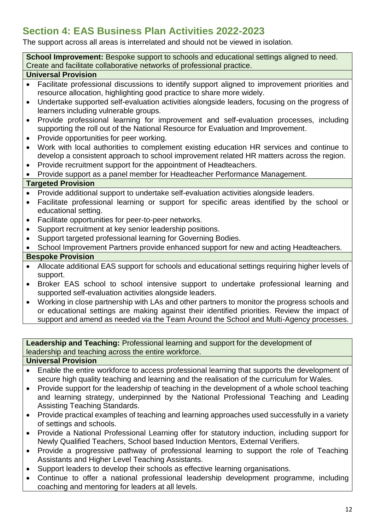# **Section 4: EAS Business Plan Activities 2022-2023**

The support across all areas is interrelated and should not be viewed in isolation.

**School Improvement:** Bespoke support to schools and educational settings aligned to need. Create and facilitate collaborative networks of professional practice.

### **Universal Provision**

- Facilitate professional discussions to identify support aligned to improvement priorities and resource allocation, highlighting good practice to share more widely.
- Undertake supported self-evaluation activities alongside leaders, focusing on the progress of learners including vulnerable groups.
- Provide professional learning for improvement and self-evaluation processes, including supporting the roll out of the National Resource for Evaluation and Improvement.
- Provide opportunities for peer working.
- Work with local authorities to complement existing education HR services and continue to develop a consistent approach to school improvement related HR matters across the region.
- Provide recruitment support for the appointment of Headteachers.
- Provide support as a panel member for Headteacher Performance Management.

### **Targeted Provision**

- Provide additional support to undertake self-evaluation activities alongside leaders.
- Facilitate professional learning or support for specific areas identified by the school or educational setting.
- Facilitate opportunities for peer-to-peer networks.
- Support recruitment at key senior leadership positions.
- Support targeted professional learning for Governing Bodies.
- School Improvement Partners provide enhanced support for new and acting Headteachers. **Bespoke Provision**

- Allocate additional EAS support for schools and educational settings requiring higher levels of support.
- Broker EAS school to school intensive support to undertake professional learning and supported self-evaluation activities alongside leaders.
- Working in close partnership with LAs and other partners to monitor the progress schools and or educational settings are making against their identified priorities. Review the impact of support and amend as needed via the Team Around the School and Multi-Agency processes.

**Leadership and Teaching:** Professional learning and support for the development of leadership and teaching across the entire workforce.

### **Universal Provision**

- Enable the entire workforce to access professional learning that supports the development of secure high quality teaching and learning and the realisation of the curriculum for Wales.
- Provide support for the leadership of teaching in the development of a whole school teaching and learning strategy, underpinned by the National Professional Teaching and Leading Assisting Teaching Standards.
- Provide practical examples of teaching and learning approaches used successfully in a variety of settings and schools.
- Provide a National Professional Learning offer for statutory induction, including support for Newly Qualified Teachers, School based Induction Mentors, External Verifiers.
- Provide a progressive pathway of professional learning to support the role of Teaching Assistants and Higher Level Teaching Assistants.
- Support leaders to develop their schools as effective learning organisations.
- Continue to offer a national professional leadership development programme, including coaching and mentoring for leaders at all levels.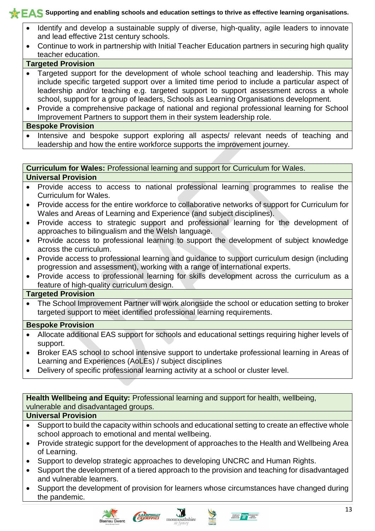- Identify and develop a sustainable supply of diverse, high-quality, agile leaders to innovate and lead effective 21st century schools.
- Continue to work in partnership with Initial Teacher Education partners in securing high quality teacher education.

### **Targeted Provision**

- Targeted support for the development of whole school teaching and leadership. This may include specific targeted support over a limited time period to include a particular aspect of leadership and/or teaching e.g. targeted support to support assessment across a whole school, support for a group of leaders, Schools as Learning Organisations development.
- Provide a comprehensive package of national and regional professional learning for School Improvement Partners to support them in their system leadership role.

### **Bespoke Provision**

• Intensive and bespoke support exploring all aspects/ relevant needs of teaching and leadership and how the entire workforce supports the improvement journey.

### **Curriculum for Wales:** Professional learning and support for Curriculum for Wales.

### **Universal Provision**

- Provide access to access to national professional learning programmes to realise the Curriculum for Wales.
- Provide access for the entire workforce to collaborative networks of support for Curriculum for Wales and Areas of Learning and Experience (and subject disciplines).
- Provide access to strategic support and professional learning for the development of approaches to bilingualism and the Welsh language.
- Provide access to professional learning to support the development of subject knowledge across the curriculum.
- Provide access to professional learning and guidance to support curriculum design (including progression and assessment), working with a range of international experts.
- Provide access to professional learning for skills development across the curriculum as a feature of high-quality curriculum design.

### **Targeted Provision**

 The School Improvement Partner will work alongside the school or education setting to broker targeted support to meet identified professional learning requirements.

### **Bespoke Provision**

- Allocate additional EAS support for schools and educational settings requiring higher levels of support.
- Broker EAS school to school intensive support to undertake professional learning in Areas of Learning and Experiences (AoLEs) / subject disciplines
- Delivery of specific professional learning activity at a school or cluster level.

**Health Wellbeing and Equity:** Professional learning and support for health, wellbeing, vulnerable and disadvantaged groups.

### **Universal Provision**

- Support to build the capacity within schools and educational setting to create an effective whole school approach to emotional and mental wellbeing.
- Provide strategic support for the development of approaches to the Health and Wellbeing Area of Learning.
- Support to develop strategic approaches to developing UNCRC and Human Rights.
- Support the development of a tiered approach to the provision and teaching for disadvantaged and vulnerable learners.
- Support the development of provision for learners whose circumstances have changed during the pandemic.





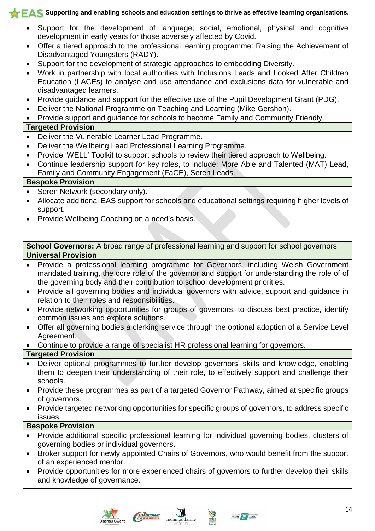- Support for the development of language, social, emotional, physical and cognitive development in early years for those adversely affected by Covid.
- Offer a tiered approach to the professional learning programme: Raising the Achievement of Disadvantaged Youngsters (RADY).
- Support for the development of strategic approaches to embedding Diversity.
- Work in partnership with local authorities with Inclusions Leads and Looked After Children Education (LACEs) to analyse and use attendance and exclusions data for vulnerable and disadvantaged learners.
- Provide guidance and support for the effective use of the Pupil Development Grant (PDG).
- Deliver the National Programme on Teaching and Learning (Mike Gershon).
- Provide support and guidance for schools to become Family and Community Friendly.

### **Targeted Provision**

- Deliver the Vulnerable Learner Lead Programme.
- Deliver the Wellbeing Lead Professional Learning Programme.
- Provide 'WELL' Toolkit to support schools to review their tiered approach to Wellbeing.
- Continue leadership support for key roles, to include: More Able and Talented (MAT) Lead, Family and Community Engagement (FaCE), Seren Leads.

### **Bespoke Provision**

- Seren Network (secondary only).
- Allocate additional EAS support for schools and educational settings requiring higher levels of support.
- Provide Wellbeing Coaching on a need's basis.

### **School Governors:** A broad range of professional learning and support for school governors. **Universal Provision**

- Provide a professional learning programme for Governors, including Welsh Government mandated training, the core role of the governor and support for understanding the role of of the governing body and their contribution to school development priorities.
- Provide all governing bodies and individual governors with advice, support and guidance in relation to their roles and responsibilities.
- Provide networking opportunities for groups of governors, to discuss best practice, identify common issues and explore solutions.
- Offer all governing bodies a clerking service through the optional adoption of a Service Level Agreement.
- Continue to provide a range of specialist HR professional learning for governors.

### **Targeted Provision**

- Deliver optional programmes to further develop governors' skills and knowledge, enabling them to deepen their understanding of their role, to effectively support and challenge their schools.
- Provide these programmes as part of a targeted Governor Pathway, aimed at specific groups of governors.
- Provide targeted networking opportunities for specific groups of governors, to address specific issues.

### **Bespoke Provision**

- Provide additional specific professional learning for individual governing bodies, clusters of governing bodies or individual governors.
- Broker support for newly appointed Chairs of Governors, who would benefit from the support of an experienced mentor.
- Provide opportunities for more experienced chairs of governors to further develop their skills and knowledge of governance.



CARRETTLE



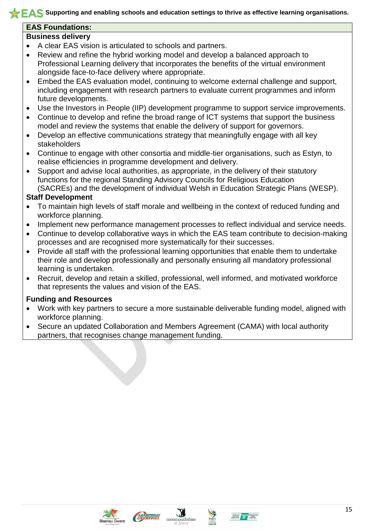### **EAS Foundations:**

### **Business delivery**

- A clear EAS vision is articulated to schools and partners.
- Review and refine the hybrid working model and develop a balanced approach to Professional Learning delivery that incorporates the benefits of the virtual environment alongside face-to-face delivery where appropriate.
- Embed the EAS evaluation model, continuing to welcome external challenge and support, including engagement with research partners to evaluate current programmes and inform future developments.
- Use the Investors in People (IIP) development programme to support service improvements.
- Continue to develop and refine the broad range of ICT systems that support the business model and review the systems that enable the delivery of support for governors.
- Develop an effective communications strategy that meaningfully engage with all key stakeholders
- Continue to engage with other consortia and middle-tier organisations, such as Estyn, to realise efficiencies in programme development and delivery.
- Support and advise local authorities, as appropriate, in the delivery of their statutory functions for the regional Standing Advisory Councils for Religious Education (SACREs) and the development of individual Welsh in Education Strategic Plans (WESP).

### **Staff Development**

- To maintain high levels of staff morale and wellbeing in the context of reduced funding and workforce planning.
- Implement new performance management processes to reflect individual and service needs.
- Continue to develop collaborative ways in which the EAS team contribute to decision-making processes and are recognised more systematically for their successes.
- Provide all staff with the professional learning opportunities that enable them to undertake their role and develop professionally and personally ensuring all mandatory professional learning is undertaken.
- Recruit, develop and retain a skilled, professional, well informed, and motivated workforce that represents the values and vision of the EAS.

### **Funding and Resources**

- Work with key partners to secure a more sustainable deliverable funding model, aligned with workforce planning.
- Secure an updated Collaboration and Members Agreement (CAMA) with local authority partners, that recognises change management funding.









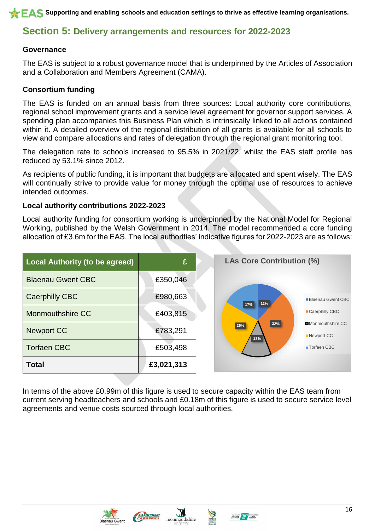## **Section 5: Delivery arrangements and resources for 2022-2023**

### **Governance**

The EAS is subject to a robust governance model that is underpinned by the Articles of Association and a Collaboration and Members Agreement (CAMA).

### **Consortium funding**

The EAS is funded on an annual basis from three sources: Local authority core contributions, regional school improvement grants and a service level agreement for governor support services. A spending plan accompanies this Business Plan which is intrinsically linked to all actions contained within it. A detailed overview of the regional distribution of all grants is available for all schools to view and compare allocations and rates of delegation through the regional grant monitoring tool.

The delegation rate to schools increased to 95.5% in 2021/22, whilst the EAS staff profile has reduced by 53.1% since 2012.

As recipients of public funding, it is important that budgets are allocated and spent wisely. The EAS will continually strive to provide value for money through the optimal use of resources to achieve intended outcomes.

### **Local authority contributions 2022-2023**

Local authority funding for consortium working is underpinned by the National Model for Regional Working, published by the Welsh Government in 2014. The model recommended a core funding allocation of £3.6m for the EAS. The local authorities' indicative figures for 2022-2023 are as follows:

| Local Authority (to be agreed) | £          | <b>LAs Core Contribution (%)</b>               |  |  |
|--------------------------------|------------|------------------------------------------------|--|--|
| <b>Blaenau Gwent CBC</b>       | £350,046   |                                                |  |  |
| Caerphilly CBC                 | £980,663   | Blaenau Gwent CBC<br>12%<br>17%                |  |  |
| <b>Monmouthshire CC</b>        | £403,815   | ■ Caerphilly CBC                               |  |  |
| <b>Newport CC</b>              | £783,291   | $32%$<br>Monmouthshire CC<br>26%<br>Newport CC |  |  |
| <b>Torfaen CBC</b>             | £503,498   | 13%<br>■ Torfaen CBC                           |  |  |
| <b>Total</b>                   | £3,021,313 |                                                |  |  |

In terms of the above £0.99m of this figure is used to secure capacity within the EAS team from current serving headteachers and schools and £0.18m of this figure is used to secure service level agreements and venue costs sourced through local authorities.







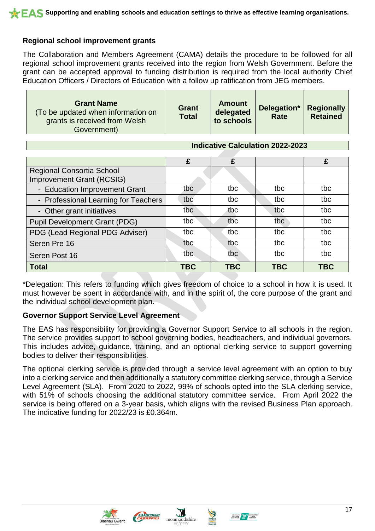### **Regional school improvement grants**

The Collaboration and Members Agreement (CAMA) details the procedure to be followed for all regional school improvement grants received into the region from Welsh Government. Before the grant can be accepted approval to funding distribution is required from the local authority Chief Education Officers / Directors of Education with a follow up ratification from JEG members.

| <b>Grant Name</b><br>To be updated when information on<br>grants is received from Welsh<br>Government) | <b>Grant</b><br><b>Total</b> | <b>Amount</b><br>delegated<br>to schools | Delegation*<br><b>Rate</b> | <b>Regionally</b><br><b>Retained</b> |
|--------------------------------------------------------------------------------------------------------|------------------------------|------------------------------------------|----------------------------|--------------------------------------|
|--------------------------------------------------------------------------------------------------------|------------------------------|------------------------------------------|----------------------------|--------------------------------------|

| <b>Indicative Calculation 2022-2023</b>                       |            |            |            |            |
|---------------------------------------------------------------|------------|------------|------------|------------|
|                                                               | £          | £          |            | £          |
| <b>Regional Consortia School</b><br>Improvement Grant (RCSIG) |            |            |            |            |
| - Education Improvement Grant                                 | tbc        | tbc        | tbc        | tbc        |
| - Professional Learning for Teachers                          | tbc        | tbc        | tbc        | tbc        |
| - Other grant initiatives                                     | tbc        | tbc        | tbc        | tbc        |
| <b>Pupil Development Grant (PDG)</b>                          | tbc        | tbc        | tbc        | tbc        |
| PDG (Lead Regional PDG Adviser)                               | tbc        | tbc        | tbc        | tbc        |
| Seren Pre 16                                                  | tbc        | tbc        | tbc        | tbc        |
| Seren Post 16                                                 | tbc        | tbc        | tbc        | tbc        |
| <b>Total</b>                                                  | <b>TBC</b> | <b>TBC</b> | <b>TBC</b> | <b>TBC</b> |

\*Delegation: This refers to funding which gives freedom of choice to a school in how it is used. It must however be spent in accordance with, and in the spirit of, the core purpose of the grant and the individual school development plan.

### **Governor Support Service Level Agreement**

The EAS has responsibility for providing a Governor Support Service to all schools in the region. The service provides support to school governing bodies, headteachers, and individual governors. This includes advice, guidance, training, and an optional clerking service to support governing bodies to deliver their responsibilities.

The optional clerking service is provided through a service level agreement with an option to buy into a clerking service and then additionally a statutory committee clerking service, through a Service Level Agreement (SLA). From 2020 to 2022, 99% of schools opted into the SLA clerking service, with 51% of schools choosing the additional statutory committee service. From April 2022 the service is being offered on a 3-year basis, which aligns with the revised Business Plan approach. The indicative funding for 2022/23 is £0.364m.